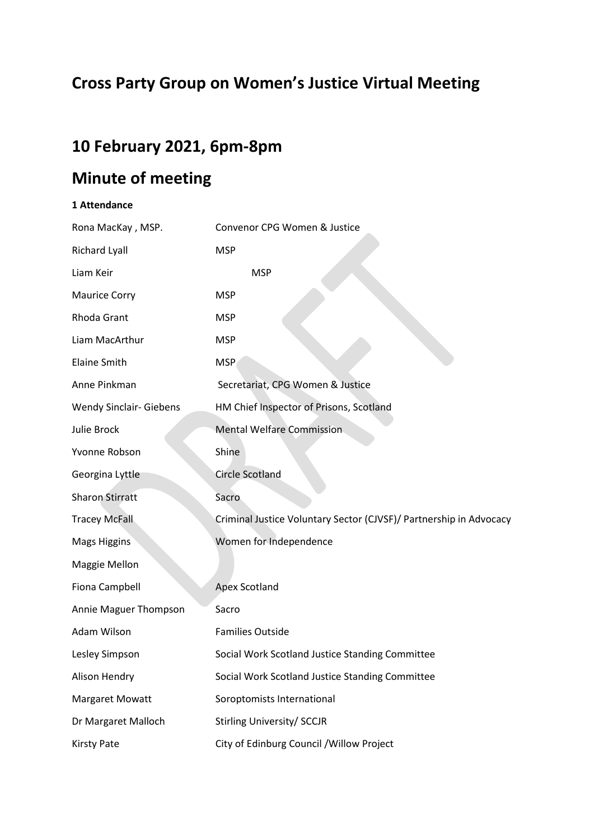# **Cross Party Group on Women's Justice Virtual Meeting**

## **10 February 2021, 6pm-8pm**

# **Minute of meeting**

### **1 Attendance**

| Rona MacKay, MSP.              | Convenor CPG Women & Justice                                       |
|--------------------------------|--------------------------------------------------------------------|
| <b>Richard Lyall</b>           | <b>MSP</b>                                                         |
| Liam Keir                      | <b>MSP</b>                                                         |
| <b>Maurice Corry</b>           | <b>MSP</b>                                                         |
| Rhoda Grant                    | <b>MSP</b>                                                         |
| Liam MacArthur                 | <b>MSP</b>                                                         |
| <b>Elaine Smith</b>            | <b>MSP</b>                                                         |
| Anne Pinkman                   | Secretariat, CPG Women & Justice                                   |
| <b>Wendy Sinclair- Giebens</b> | HM Chief Inspector of Prisons, Scotland                            |
| Julie Brock                    | <b>Mental Welfare Commission</b>                                   |
| Yvonne Robson                  | Shine                                                              |
| Georgina Lyttle                | <b>Circle Scotland</b>                                             |
| <b>Sharon Stirratt</b>         | Sacro                                                              |
| <b>Tracey McFall</b>           | Criminal Justice Voluntary Sector (CJVSF)/ Partnership in Advocacy |
| <b>Mags Higgins</b>            | Women for Independence                                             |
| Maggie Mellon                  |                                                                    |
| Fiona Campbell                 | <b>Apex Scotland</b>                                               |
| Annie Maguer Thompson          | Sacro                                                              |
| Adam Wilson                    | <b>Families Outside</b>                                            |
| Lesley Simpson                 | Social Work Scotland Justice Standing Committee                    |
| Alison Hendry                  | Social Work Scotland Justice Standing Committee                    |
| Margaret Mowatt                | Soroptomists International                                         |
| Dr Margaret Malloch            | <b>Stirling University/ SCCJR</b>                                  |
| <b>Kirsty Pate</b>             | City of Edinburg Council / Willow Project                          |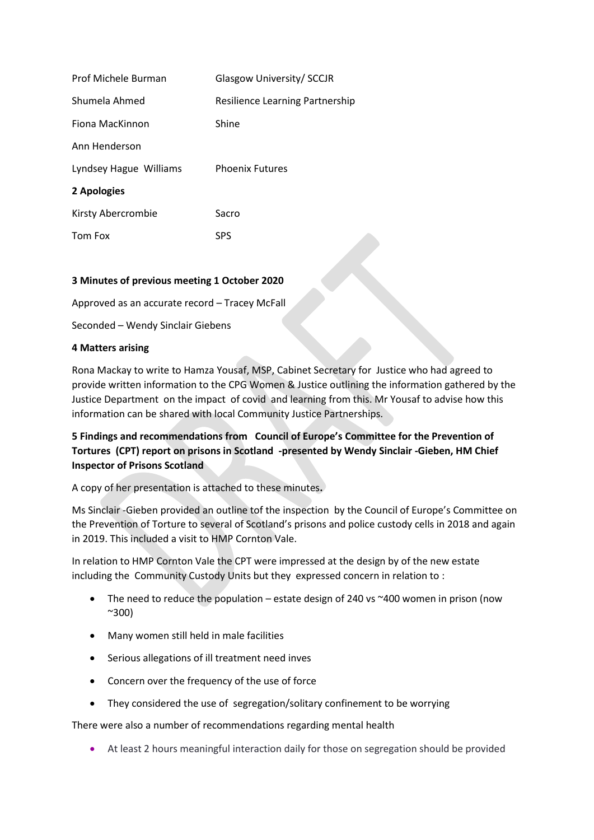| Prof Michele Burman    | Glasgow University/ SCCJR       |
|------------------------|---------------------------------|
| Shumela Ahmed          | Resilience Learning Partnership |
| Fiona MacKinnon        | Shine                           |
| Ann Henderson          |                                 |
| Lyndsey Hague Williams | <b>Phoenix Futures</b>          |
| 2 Apologies            |                                 |
| Kirsty Abercrombie     | Sacro                           |
| Tom Fox                | <b>SPS</b>                      |
|                        |                                 |

#### **3 Minutes of previous meeting 1 October 2020**

Approved as an accurate record – Tracey McFall

Seconded – Wendy Sinclair Giebens

#### **4 Matters arising**

Rona Mackay to write to Hamza Yousaf, MSP, Cabinet Secretary for Justice who had agreed to provide written information to the CPG Women & Justice outlining the information gathered by the Justice Department on the impact of covid and learning from this. Mr Yousaf to advise how this information can be shared with local Community Justice Partnerships.

**5 Findings and recommendations from Council of Europe's Committee for the Prevention of Tortures (CPT) report on prisons in Scotland -presented by Wendy Sinclair -Gieben, HM Chief Inspector of Prisons Scotland**

A copy of her presentation is attached to these minutes**.**

Ms Sinclair -Gieben provided an outline tof the inspection by the Council of Europe's Committee on the Prevention of Torture to several of Scotland's prisons and police custody cells in 2018 and again in 2019. This included a visit to HMP Cornton Vale.

In relation to HMP Cornton Vale the CPT were impressed at the design by of the new estate including the Community Custody Units but they expressed concern in relation to :

- The need to reduce the population estate design of 240 vs ~400 women in prison (now ~300)
- Many women still held in male facilities
- Serious allegations of ill treatment need inves
- Concern over the frequency of the use of force
- They considered the use of segregation/solitary confinement to be worrying

There were also a number of recommendations regarding mental health

• At least 2 hours meaningful interaction daily for those on segregation should be provided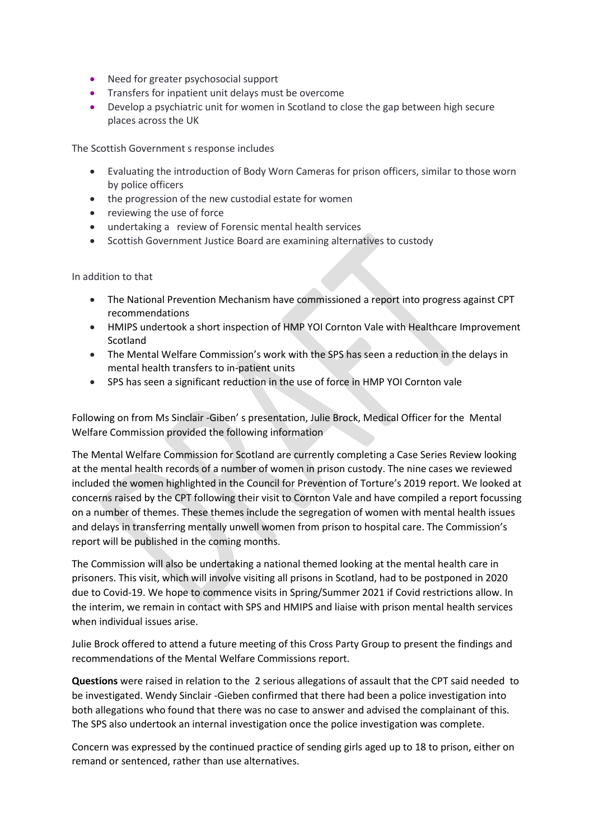- Need for greater psychosocial support
- Transfers for inpatient unit delays must be overcome
- Develop a psychiatric unit for women in Scotland to close the gap between high secure places across the UK

The Scottish Government s response includes

- Evaluating the introduction of Body Worn Cameras for prison officers, similar to those worn by police officers
- the progression of the new custodial estate for women
- reviewing the use of force
- undertaking a review of Forensic mental health services
- Scottish Government Justice Board are examining alternatives to custody

In addition to that

- The National Prevention Mechanism have commissioned a report into progress against CPT recommendations
- HMIPS undertook a short inspection of HMP YOI Cornton Vale with Healthcare Improvement Scotland
- The Mental Welfare Commission's work with the SPS has seen a reduction in the delays in mental health transfers to in-patient units
- SPS has seen a significant reduction in the use of force in HMP YOI Cornton vale

Following on from Ms Sinclair -Giben' s presentation, Julie Brock, Medical Officer for the Mental Welfare Commission provided the following information

The Mental Welfare Commission for Scotland are currently completing a Case Series Review looking at the mental health records of a number of women in prison custody. The nine cases we reviewed included the women highlighted in the Council for Prevention of Torture's 2019 report. We looked at concerns raised by the CPT following their visit to Cornton Vale and have compiled a report focussing on a number of themes. These themes include the segregation of women with mental health issues and delays in transferring mentally unwell women from prison to hospital care. The Commission's report will be published in the coming months.

The Commission will also be undertaking a national themed looking at the mental health care in prisoners. This visit, which will involve visiting all prisons in Scotland, had to be postponed in 2020 due to Covid-19. We hope to commence visits in Spring/Summer 2021 if Covid restrictions allow. In the interim, we remain in contact with SPS and HMIPS and liaise with prison mental health services when individual issues arise.

Julie Brock offered to attend a future meeting of this Cross Party Group to present the findings and recommendations of the Mental Welfare Commissions report.

**Questions** were raised in relation to the 2 serious allegations of assault that the CPT said needed to be investigated. Wendy Sinclair -Gieben confirmed that there had been a police investigation into both allegations who found that there was no case to answer and advised the complainant of this. The SPS also undertook an internal investigation once the police investigation was complete.

Concern was expressed by the continued practice of sending girls aged up to 18 to prison, either on remand or sentenced, rather than use alternatives.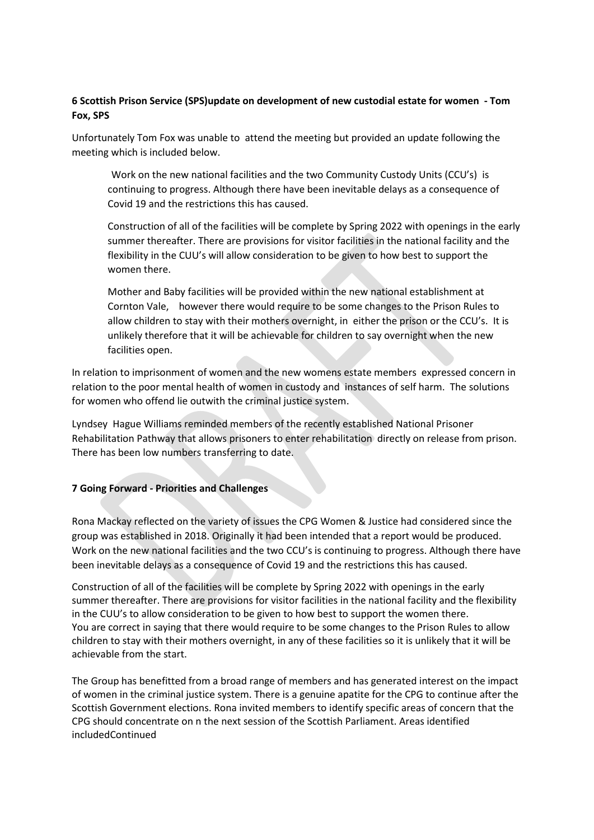### **6 Scottish Prison Service (SPS)update on development of new custodial estate for women - Tom Fox, SPS**

Unfortunately Tom Fox was unable to attend the meeting but provided an update following the meeting which is included below.

Work on the new national facilities and the two Community Custody Units (CCU's) is continuing to progress. Although there have been inevitable delays as a consequence of Covid 19 and the restrictions this has caused.

Construction of all of the facilities will be complete by Spring 2022 with openings in the early summer thereafter. There are provisions for visitor facilities in the national facility and the flexibility in the CUU's will allow consideration to be given to how best to support the women there

Mother and Baby facilities will be provided within the new national establishment at Cornton Vale, however there would require to be some changes to the Prison Rules to allow children to stay with their mothers overnight, in either the prison or the CCU's. It is unlikely therefore that it will be achievable for children to say overnight when the new facilities open.

In relation to imprisonment of women and the new womens estate members expressed concern in relation to the poor mental health of women in custody and instances of self harm. The solutions for women who offend lie outwith the criminal justice system.

Lyndsey Hague Williams reminded members of the recently established National Prisoner Rehabilitation Pathway that allows prisoners to enter rehabilitation directly on release from prison. There has been low numbers transferring to date.

#### **7 Going Forward - Priorities and Challenges**

Rona Mackay reflected on the variety of issues the CPG Women & Justice had considered since the group was established in 2018. Originally it had been intended that a report would be produced. Work on the new national facilities and the two CCU's is continuing to progress. Although there have been inevitable delays as a consequence of Covid 19 and the restrictions this has caused.

Construction of all of the facilities will be complete by Spring 2022 with openings in the early summer thereafter. There are provisions for visitor facilities in the national facility and the flexibility in the CUU's to allow consideration to be given to how best to support the women there. You are correct in saying that there would require to be some changes to the Prison Rules to allow children to stay with their mothers overnight, in any of these facilities so it is unlikely that it will be achievable from the start.

The Group has benefitted from a broad range of members and has generated interest on the impact of women in the criminal justice system. There is a genuine apatite for the CPG to continue after the Scottish Government elections. Rona invited members to identify specific areas of concern that the CPG should concentrate on n the next session of the Scottish Parliament. Areas identified includedContinued